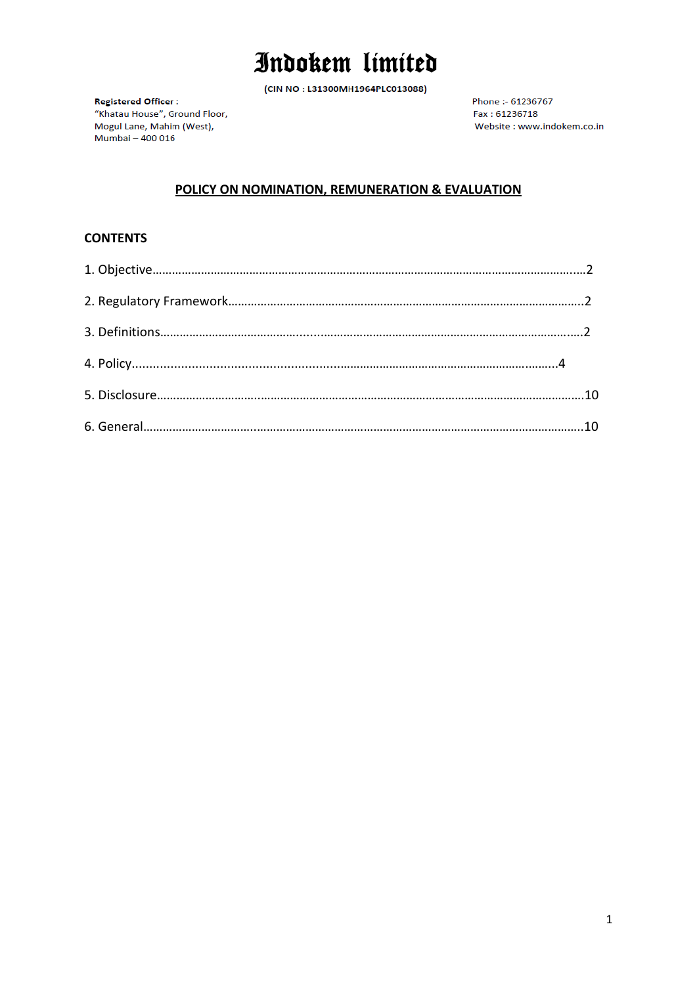(CIN NO: L31300MH1964PLC013088)

**Registered Officer:** "Khatau House", Ground Floor, Mogul Lane, Mahim (West), Mumbai - 400 016

Phone: - 61236767 Fax: 61236718 Website : www.indokem.co.in

### POLICY ON NOMINATION, REMUNERATION & EVALUATION

#### **CONTENTS**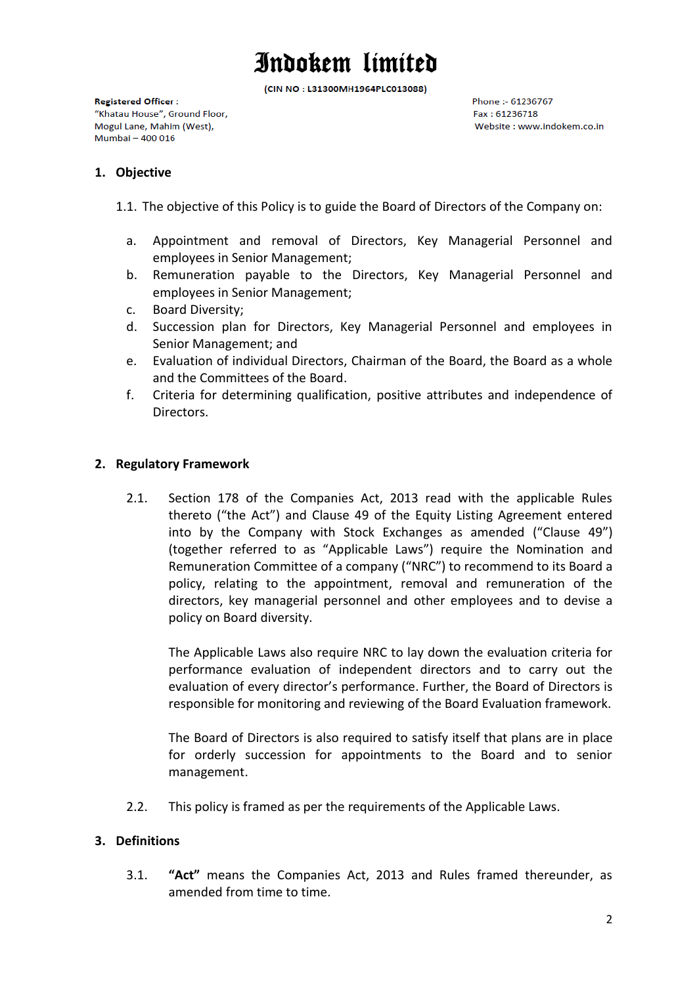(CIN NO: L31300MH1964PLC013088)

**Registered Officer:** "Khatau House", Ground Floor, Mogul Lane, Mahim (West), Mumbai - 400 016

Phone :- 61236767 Fax: 61236718 Website: www.indokem.co.in

#### <span id="page-1-0"></span>**1. Objective**

- 1.1. The objective of this Policy is to guide the Board of Directors of the Company on:
	- a. Appointment and removal of Directors, Key Managerial Personnel and employees in Senior Management;
	- b. Remuneration payable to the Directors, Key Managerial Personnel and employees in Senior Management;
	- c. Board Diversity;
	- d. Succession plan for Directors, Key Managerial Personnel and employees in Senior Management; and
	- e. Evaluation of individual Directors, Chairman of the Board, the Board as a whole and the Committees of the Board.
	- f. Criteria for determining qualification, positive attributes and independence of Directors.

#### <span id="page-1-1"></span>**2. Regulatory Framework**

2.1. Section 178 of the Companies Act, 2013 read with the applicable Rules thereto ("the Act") and Clause 49 of the Equity Listing Agreement entered into by the Company with Stock Exchanges as amended ("Clause 49") (together referred to as "Applicable Laws") require the Nomination and Remuneration Committee of a company ("NRC") to recommend to its Board a policy, relating to the appointment, removal and remuneration of the directors, key managerial personnel and other employees and to devise a policy on Board diversity.

The Applicable Laws also require NRC to lay down the evaluation criteria for performance evaluation of independent directors and to carry out the evaluation of every director's performance. Further, the Board of Directors is responsible for monitoring and reviewing of the Board Evaluation framework.

The Board of Directors is also required to satisfy itself that plans are in place for orderly succession for appointments to the Board and to senior management.

2.2. This policy is framed as per the requirements of the Applicable Laws.

#### <span id="page-1-2"></span>**3. Definitions**

3.1. **"Act"** means the Companies Act, 2013 and Rules framed thereunder, as amended from time to time.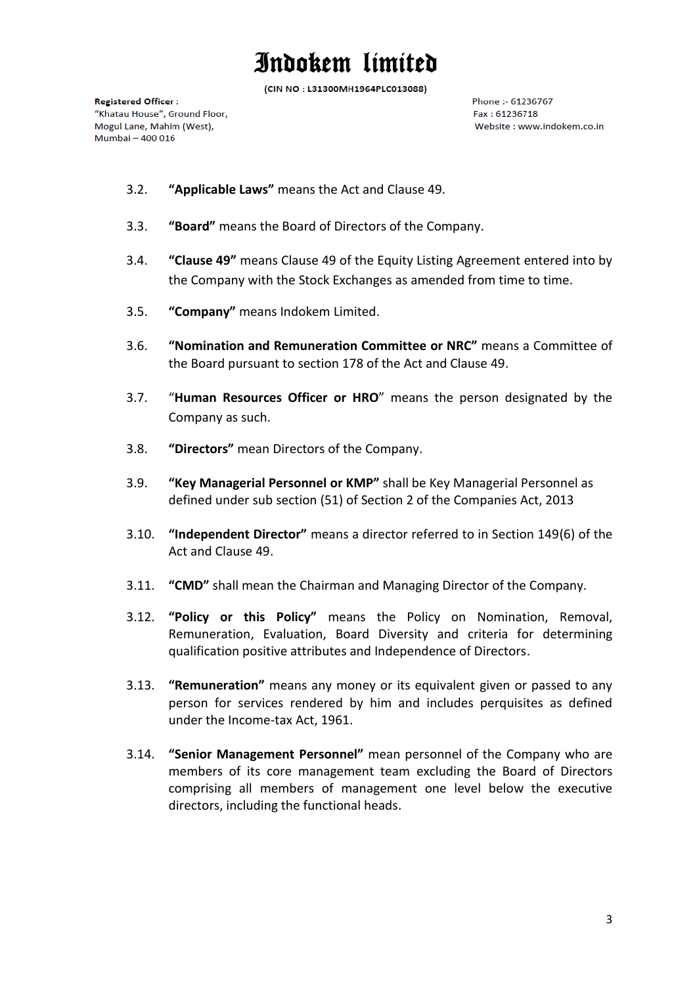(CIN NO: L31300MH1964PLC013088)

**Registered Officer:** "Khatau House", Ground Floor, Mogul Lane, Mahim (West), Mumbai - 400 016

Phone :- 61236767  $F_{2X}$  + 61236718 Website: www.indokem.co.in

- 3.2. **"Applicable Laws"** means the Act and Clause 49.
- 3.3. **"Board"** means the Board of Directors of the Company.
- 3.4. **"Clause 49"** means Clause 49 of the Equity Listing Agreement entered into by the Company with the Stock Exchanges as amended from time to time.
- 3.5. **"Company"** means Indokem Limited.
- 3.6. **"Nomination and Remuneration Committee or NRC"** means a Committee of the Board pursuant to section 178 of the Act and Clause 49.
- 3.7. "**Human Resources Officer or HRO**" means the person designated by the Company as such.
- 3.8. **"Directors"** mean Directors of the Company.
- 3.9. **"Key Managerial Personnel or KMP"** shall be Key Managerial Personnel as defined under sub section (51) of Section 2 of the Companies Act, 2013
- 3.10. **"Independent Director"** means a director referred to in Section 149(6) of the Act and Clause 49.
- 3.11. **"CMD"** shall mean the Chairman and Managing Director of the Company.
- 3.12. **"Policy or this Policy"** means the Policy on Nomination, Removal, Remuneration, Evaluation, Board Diversity and criteria for determining qualification positive attributes and Independence of Directors.
- 3.13. **"Remuneration"** means any money or its equivalent given or passed to any person for services rendered by him and includes perquisites as defined under the Income-tax Act, 1961.
- 3.14. **"Senior Management Personnel"** mean personnel of the Company who are members of its core management team excluding the Board of Directors comprising all members of management one level below the executive directors, including the functional heads.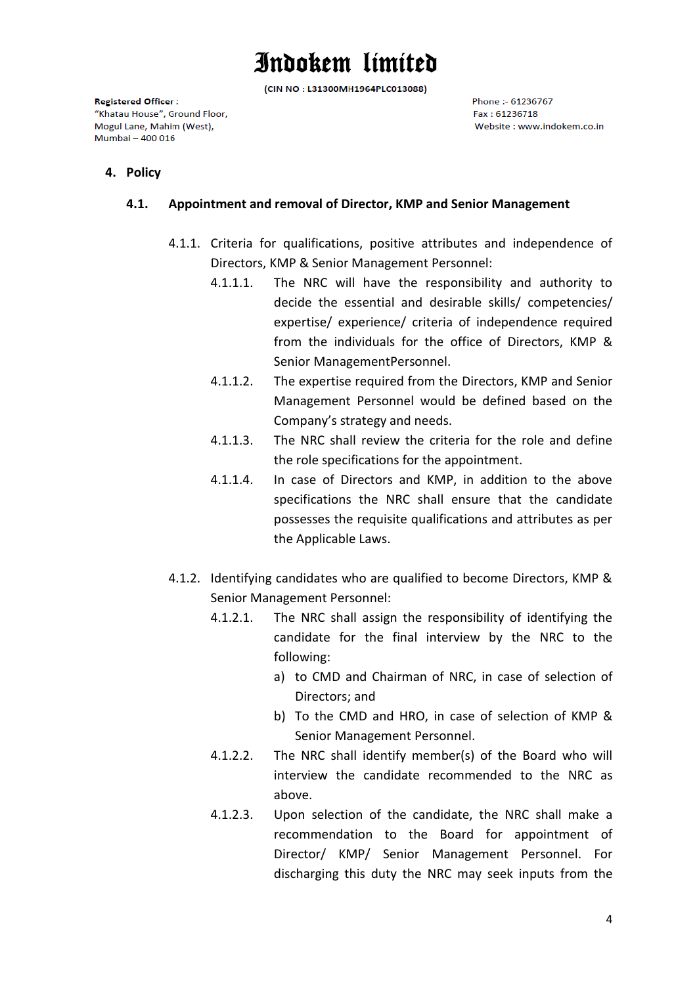(CIN NO: L31300MH1964PLC013088)

**Registered Officer:** "Khatau House", Ground Floor, Mogul Lane, Mahim (West), Mumbai - 400 016

Phone :- 61236767 Fax: 61236718 Website: www.indokem.co.in

#### **4. Policy**

#### **4.1. Appointment and removal of Director, KMP and Senior Management**

- 4.1.1. Criteria for qualifications, positive attributes and independence of Directors, KMP & Senior Management Personnel:
	- 4.1.1.1. The NRC will have the responsibility and authority to decide the essential and desirable skills/ competencies/ expertise/ experience/ criteria of independence required from the individuals for the office of Directors, KMP & Senior ManagementPersonnel.
	- 4.1.1.2. The expertise required from the Directors, KMP and Senior Management Personnel would be defined based on the Company's strategy and needs.
	- 4.1.1.3. The NRC shall review the criteria for the role and define the role specifications for the appointment.
	- 4.1.1.4. In case of Directors and KMP, in addition to the above specifications the NRC shall ensure that the candidate possesses the requisite qualifications and attributes as per the Applicable Laws.
- 4.1.2. Identifying candidates who are qualified to become Directors, KMP & Senior Management Personnel:
	- 4.1.2.1. The NRC shall assign the responsibility of identifying the candidate for the final interview by the NRC to the following:
		- a) to CMD and Chairman of NRC, in case of selection of Directors; and
		- b) To the CMD and HRO, in case of selection of KMP & Senior Management Personnel.
	- 4.1.2.2. The NRC shall identify member(s) of the Board who will interview the candidate recommended to the NRC as above.
	- 4.1.2.3. Upon selection of the candidate, the NRC shall make a recommendation to the Board for appointment of Director/ KMP/ Senior Management Personnel. For discharging this duty the NRC may seek inputs from the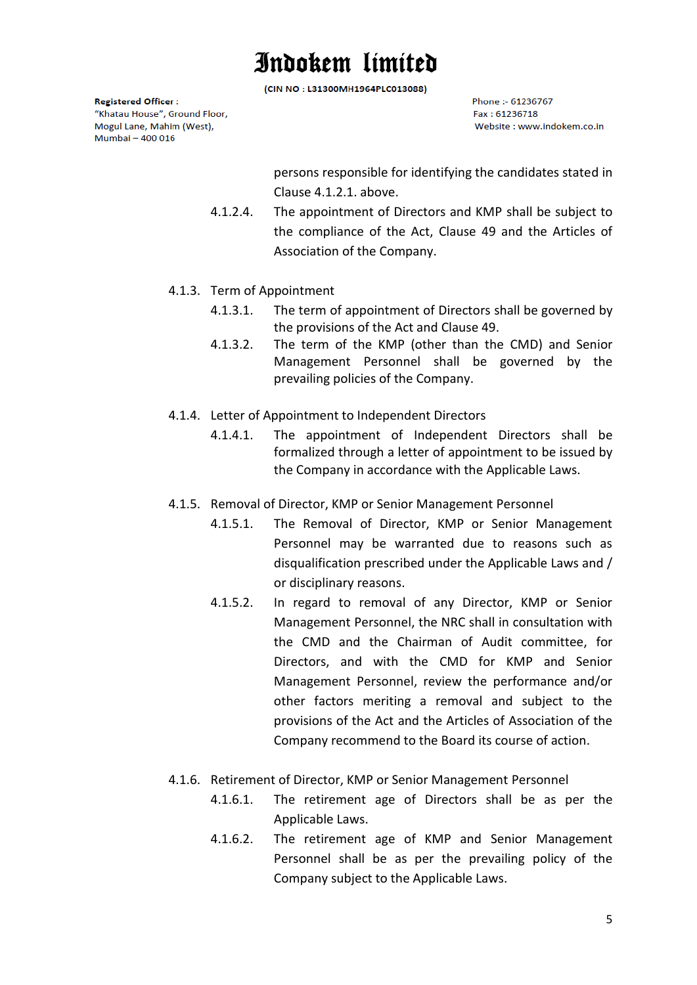(CIN NO: L31300MH1964PLC013088)

**Registered Officer:** "Khatau House", Ground Floor, Mogul Lane, Mahim (West), Mumbai - 400 016

Phone :- 61236767  $F_{2X}$  + 61236718 Website: www.indokem.co.in

persons responsible for identifying the candidates stated in Clause 4.1.2.1. above.

- 4.1.2.4. The appointment of Directors and KMP shall be subject to the compliance of the Act, Clause 49 and the Articles of Association of the Company.
- 4.1.3. Term of Appointment
	- 4.1.3.1. The term of appointment of Directors shall be governed by the provisions of the Act and Clause 49.
	- 4.1.3.2. The term of the KMP (other than the CMD) and Senior Management Personnel shall be governed by the prevailing policies of the Company.
- 4.1.4. Letter of Appointment to Independent Directors
	- 4.1.4.1. The appointment of Independent Directors shall be formalized through a letter of appointment to be issued by the Company in accordance with the Applicable Laws.
- 4.1.5. Removal of Director, KMP or Senior Management Personnel
	- 4.1.5.1. The Removal of Director, KMP or Senior Management Personnel may be warranted due to reasons such as disqualification prescribed under the Applicable Laws and / or disciplinary reasons.
	- 4.1.5.2. In regard to removal of any Director, KMP or Senior Management Personnel, the NRC shall in consultation with the CMD and the Chairman of Audit committee, for Directors, and with the CMD for KMP and Senior Management Personnel, review the performance and/or other factors meriting a removal and subject to the provisions of the Act and the Articles of Association of the Company recommend to the Board its course of action.
- 4.1.6. Retirement of Director, KMP or Senior Management Personnel
	- 4.1.6.1. The retirement age of Directors shall be as per the Applicable Laws.
	- 4.1.6.2. The retirement age of KMP and Senior Management Personnel shall be as per the prevailing policy of the Company subject to the Applicable Laws.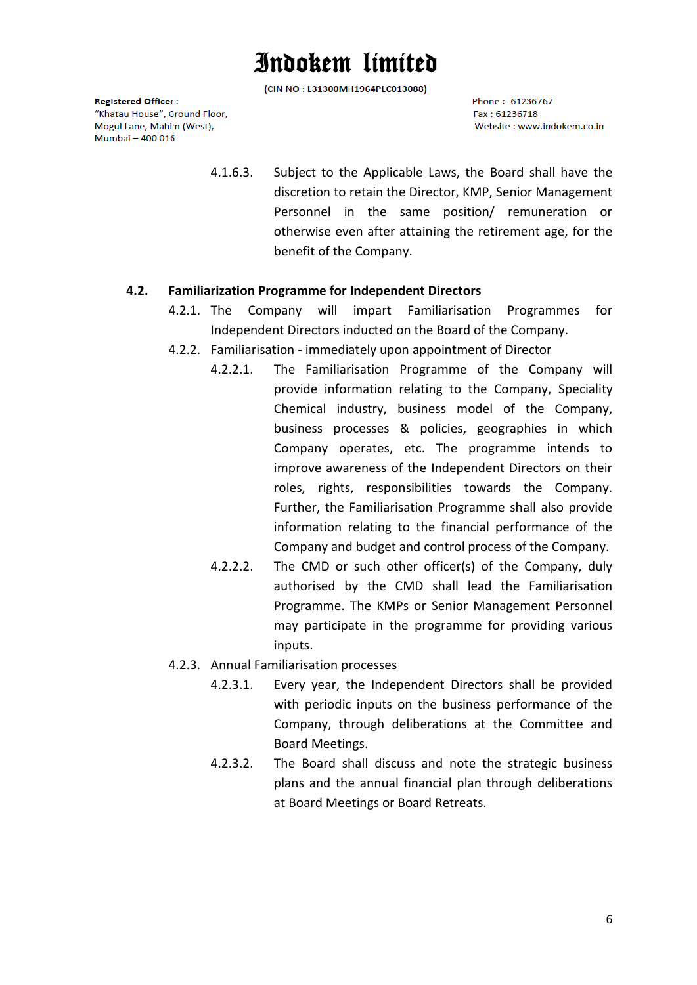(CIN NO: L31300MH1964PLC013088)

**Registered Officer:** "Khatau House", Ground Floor, Mogul Lane, Mahim (West), Mumbai - 400 016

Phone :- 61236767  $F_{2X}$  + 61236718 Website: www.indokem.co.in

4.1.6.3. Subject to the Applicable Laws, the Board shall have the discretion to retain the Director, KMP, Senior Management Personnel in the same position/ remuneration or otherwise even after attaining the retirement age, for the benefit of the Company.

#### **4.2. Familiarization Programme for Independent Directors**

- 4.2.1. The Company will impart Familiarisation Programmes for Independent Directors inducted on the Board of the Company.
- 4.2.2. Familiarisation immediately upon appointment of Director
	- 4.2.2.1. The Familiarisation Programme of the Company will provide information relating to the Company, Speciality Chemical industry, business model of the Company, business processes & policies, geographies in which Company operates, etc. The programme intends to improve awareness of the Independent Directors on their roles, rights, responsibilities towards the Company. Further, the Familiarisation Programme shall also provide information relating to the financial performance of the Company and budget and control process of the Company.
	- 4.2.2.2. The CMD or such other officer(s) of the Company, duly authorised by the CMD shall lead the Familiarisation Programme. The KMPs or Senior Management Personnel may participate in the programme for providing various inputs.
- 4.2.3. Annual Familiarisation processes
	- 4.2.3.1. Every year, the Independent Directors shall be provided with periodic inputs on the business performance of the Company, through deliberations at the Committee and Board Meetings.
	- 4.2.3.2. The Board shall discuss and note the strategic business plans and the annual financial plan through deliberations at Board Meetings or Board Retreats.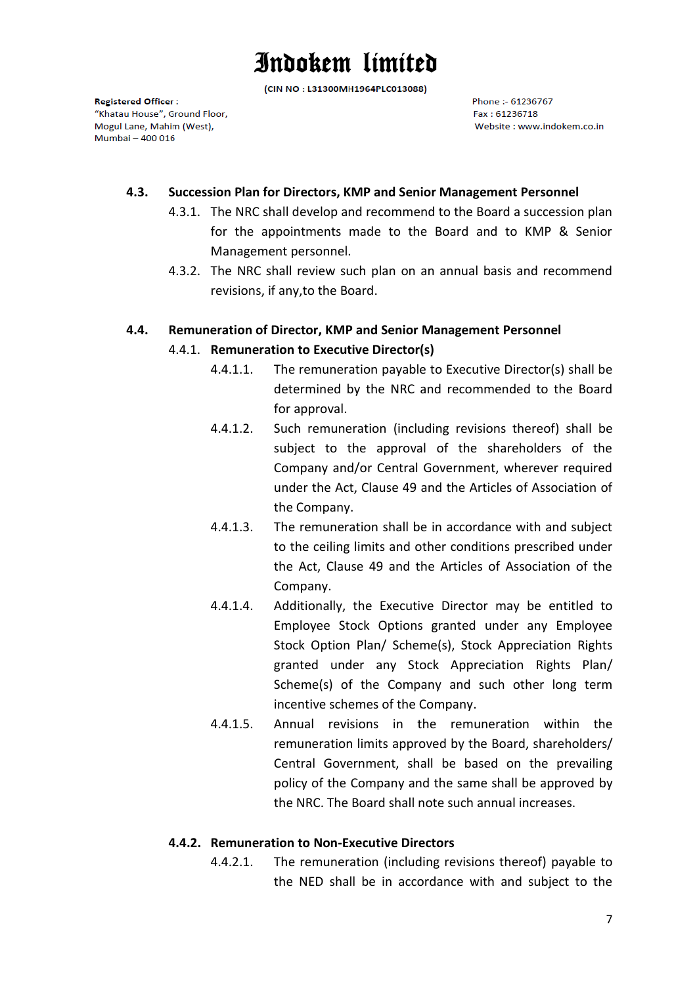(CIN NO: L31300MH1964PLC013088)

**Registered Officer:** "Khatau House", Ground Floor, Mogul Lane, Mahim (West), Mumbai - 400 016

Phone :- 61236767 Fax: 61236718 Website: www.indokem.co.in

#### **4.3. Succession Plan for Directors, KMP and Senior Management Personnel**

- 4.3.1. The NRC shall develop and recommend to the Board a succession plan for the appointments made to the Board and to KMP & Senior Management personnel.
- 4.3.2. The NRC shall review such plan on an annual basis and recommend revisions, if any,to the Board.

### **4.4. Remuneration of Director, KMP and Senior Management Personnel**

#### 4.4.1. **Remuneration to Executive Director(s)**

- 4.4.1.1. The remuneration payable to Executive Director(s) shall be determined by the NRC and recommended to the Board for approval.
- 4.4.1.2. Such remuneration (including revisions thereof) shall be subject to the approval of the shareholders of the Company and/or Central Government, wherever required under the Act, Clause 49 and the Articles of Association of the Company.
- 4.4.1.3. The remuneration shall be in accordance with and subject to the ceiling limits and other conditions prescribed under the Act, Clause 49 and the Articles of Association of the Company.
- 4.4.1.4. Additionally, the Executive Director may be entitled to Employee Stock Options granted under any Employee Stock Option Plan/ Scheme(s), Stock Appreciation Rights granted under any Stock Appreciation Rights Plan/ Scheme(s) of the Company and such other long term incentive schemes of the Company.
- 4.4.1.5. Annual revisions in the remuneration within the remuneration limits approved by the Board, shareholders/ Central Government, shall be based on the prevailing policy of the Company and the same shall be approved by the NRC. The Board shall note such annual increases.

#### **4.4.2. Remuneration to Non-Executive Directors**

4.4.2.1. The remuneration (including revisions thereof) payable to the NED shall be in accordance with and subject to the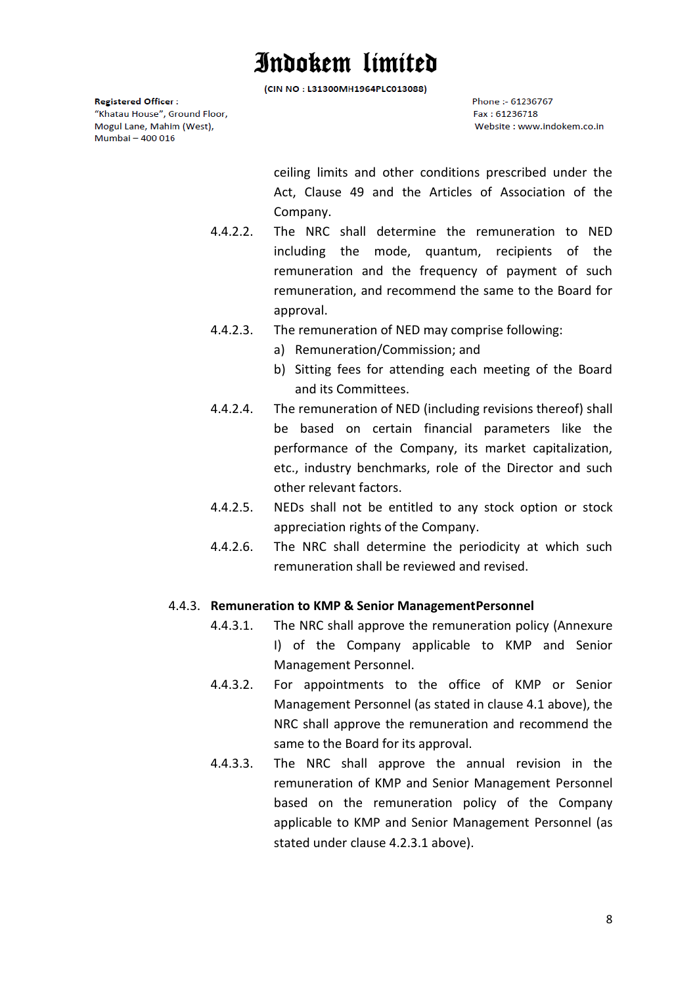(CIN NO: L31300MH1964PLC013088)

**Registered Officer:** "Khatau House", Ground Floor, Mogul Lane, Mahim (West), Mumbai - 400 016

Phone :- 61236767 Fax: 61236718 Website: www.indokem.co.in

ceiling limits and other conditions prescribed under the Act, Clause 49 and the Articles of Association of the Company.

- 4.4.2.2. The NRC shall determine the remuneration to NED including the mode, quantum, recipients of the remuneration and the frequency of payment of such remuneration, and recommend the same to the Board for approval.
- 4.4.2.3. The remuneration of NED may comprise following:
	- a) Remuneration/Commission; and
	- b) Sitting fees for attending each meeting of the Board and its Committees.
- 4.4.2.4. The remuneration of NED (including revisions thereof) shall be based on certain financial parameters like the performance of the Company, its market capitalization, etc., industry benchmarks, role of the Director and such other relevant factors.
- 4.4.2.5. NEDs shall not be entitled to any stock option or stock appreciation rights of the Company.
- 4.4.2.6. The NRC shall determine the periodicity at which such remuneration shall be reviewed and revised.

#### 4.4.3. **Remuneration to KMP & Senior ManagementPersonnel**

- 4.4.3.1. The NRC shall approve the remuneration policy (Annexure I) of the Company applicable to KMP and Senior Management Personnel.
- 4.4.3.2. For appointments to the office of KMP or Senior Management Personnel (as stated in clause 4.1 above), the NRC shall approve the remuneration and recommend the same to the Board for its approval.
- 4.4.3.3. The NRC shall approve the annual revision in the remuneration of KMP and Senior Management Personnel based on the remuneration policy of the Company applicable to KMP and Senior Management Personnel (as stated under clause 4.2.3.1 above).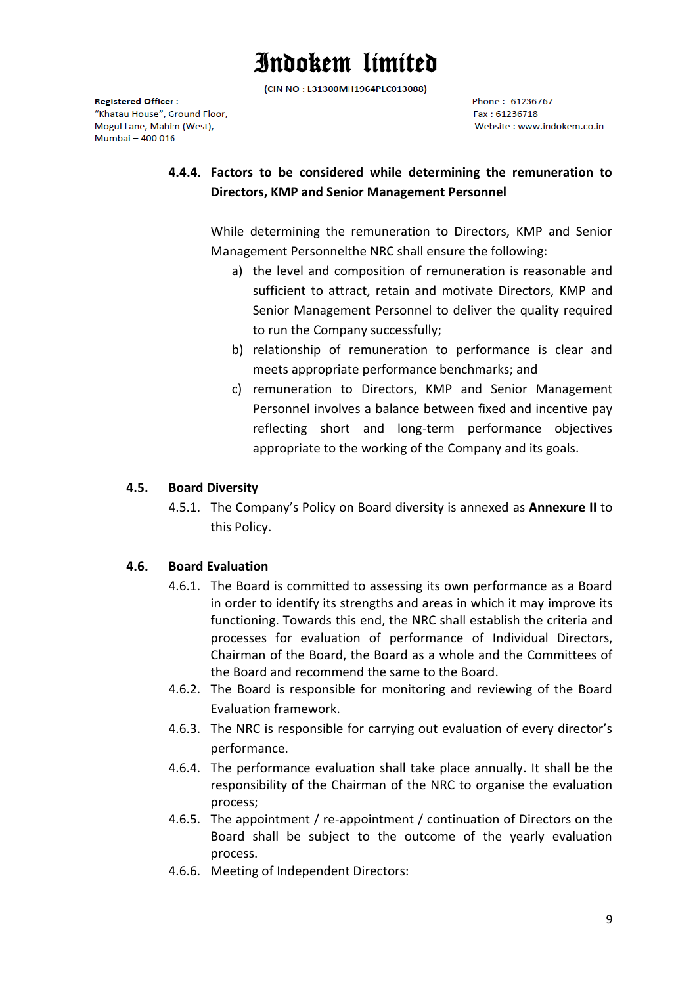(CIN NO: L31300MH1964PLC013088)

**Registered Officer:** "Khatau House", Ground Floor, Mogul Lane, Mahim (West), Mumbai - 400 016

Phone :- 61236767  $F_{2X}$  + 61236718 Website: www.indokem.co.in

### **4.4.4. Factors to be considered while determining the remuneration to Directors, KMP and Senior Management Personnel**

While determining the remuneration to Directors, KMP and Senior Management Personnelthe NRC shall ensure the following:

- a) the level and composition of remuneration is reasonable and sufficient to attract, retain and motivate Directors, KMP and Senior Management Personnel to deliver the quality required to run the Company successfully;
- b) relationship of remuneration to performance is clear and meets appropriate performance benchmarks; and
- c) remuneration to Directors, KMP and Senior Management Personnel involves a balance between fixed and incentive pay reflecting short and long-term performance objectives appropriate to the working of the Company and its goals.

### **4.5. Board Diversity**

4.5.1. The Company's Policy on Board diversity is annexed as **Annexure II** to this Policy.

### **4.6. Board Evaluation**

- 4.6.1. The Board is committed to assessing its own performance as a Board in order to identify its strengths and areas in which it may improve its functioning. Towards this end, the NRC shall establish the criteria and processes for evaluation of performance of Individual Directors, Chairman of the Board, the Board as a whole and the Committees of the Board and recommend the same to the Board.
- 4.6.2. The Board is responsible for monitoring and reviewing of the Board Evaluation framework.
- 4.6.3. The NRC is responsible for carrying out evaluation of every director's performance.
- 4.6.4. The performance evaluation shall take place annually. It shall be the responsibility of the Chairman of the NRC to organise the evaluation process;
- 4.6.5. The appointment / re-appointment / continuation of Directors on the Board shall be subject to the outcome of the yearly evaluation process.
- 4.6.6. Meeting of Independent Directors: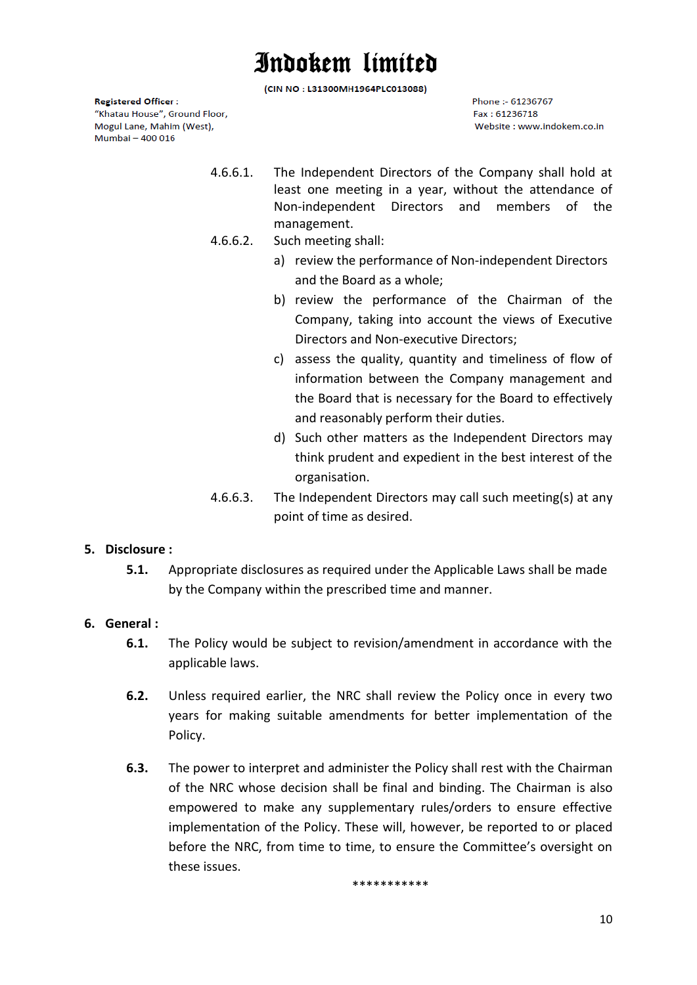(CIN NO: L31300MH1964PLC013088)

**Registered Officer:** "Khatau House", Ground Floor, Mogul Lane, Mahim (West), Mumbai - 400 016

Phone :- 61236767 Eav: 61236718 Website: www.indokem.co.in

- 4.6.6.1. The Independent Directors of the Company shall hold at least one meeting in a year, without the attendance of Non-independent Directors and members of the management.
- 4.6.6.2. Such meeting shall:
	- a) review the performance of Non-independent Directors and the Board as a whole;
	- b) review the performance of the Chairman of the Company, taking into account the views of Executive Directors and Non-executive Directors;
	- c) assess the quality, quantity and timeliness of flow of information between the Company management and the Board that is necessary for the Board to effectively and reasonably perform their duties.
	- d) Such other matters as the Independent Directors may think prudent and expedient in the best interest of the organisation.
- 4.6.6.3. The Independent Directors may call such meeting(s) at any point of time as desired.

#### **5. Disclosure :**

**5.1.** Appropriate disclosures as required under the Applicable Laws shall be made by the Company within the prescribed time and manner.

#### **6. General :**

- **6.1.** The Policy would be subject to revision/amendment in accordance with the applicable laws.
- **6.2.** Unless required earlier, the NRC shall review the Policy once in every two years for making suitable amendments for better implementation of the Policy.
- **6.3.** The power to interpret and administer the Policy shall rest with the Chairman of the NRC whose decision shall be final and binding. The Chairman is also empowered to make any supplementary rules/orders to ensure effective implementation of the Policy. These will, however, be reported to or placed before the NRC, from time to time, to ensure the Committee's oversight on these issues.

\*\*\*\*\*\*\*\*\*\*\*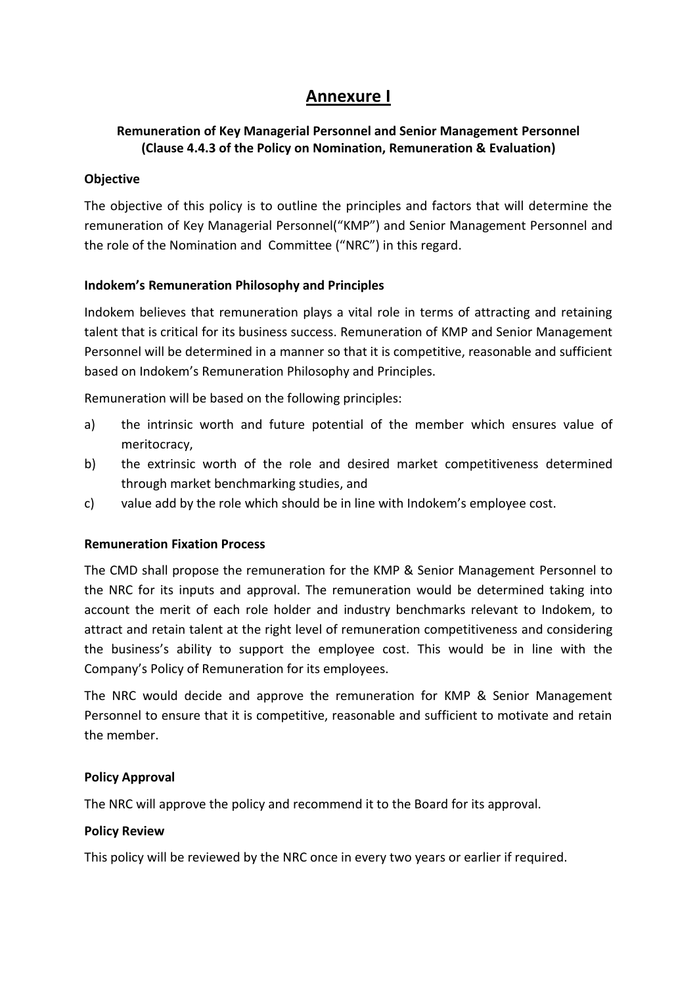### **Annexure I**

### **Remuneration of Key Managerial Personnel and Senior Management Personnel (Clause 4.4.3 of the Policy on Nomination, Remuneration & Evaluation)**

#### **Objective**

The objective of this policy is to outline the principles and factors that will determine the remuneration of Key Managerial Personnel("KMP") and Senior Management Personnel and the role of the Nomination and Committee ("NRC") in this regard.

#### **Indokem's Remuneration Philosophy and Principles**

Indokem believes that remuneration plays a vital role in terms of attracting and retaining talent that is critical for its business success. Remuneration of KMP and Senior Management Personnel will be determined in a manner so that it is competitive, reasonable and sufficient based on Indokem's Remuneration Philosophy and Principles.

Remuneration will be based on the following principles:

- a) the intrinsic worth and future potential of the member which ensures value of meritocracy,
- b) the extrinsic worth of the role and desired market competitiveness determined through market benchmarking studies, and
- c) value add by the role which should be in line with Indokem's employee cost.

#### **Remuneration Fixation Process**

The CMD shall propose the remuneration for the KMP & Senior Management Personnel to the NRC for its inputs and approval. The remuneration would be determined taking into account the merit of each role holder and industry benchmarks relevant to Indokem, to attract and retain talent at the right level of remuneration competitiveness and considering the business's ability to support the employee cost. This would be in line with the Company's Policy of Remuneration for its employees.

The NRC would decide and approve the remuneration for KMP & Senior Management Personnel to ensure that it is competitive, reasonable and sufficient to motivate and retain the member.

#### **Policy Approval**

The NRC will approve the policy and recommend it to the Board for its approval.

#### **Policy Review**

This policy will be reviewed by the NRC once in every two years or earlier if required.